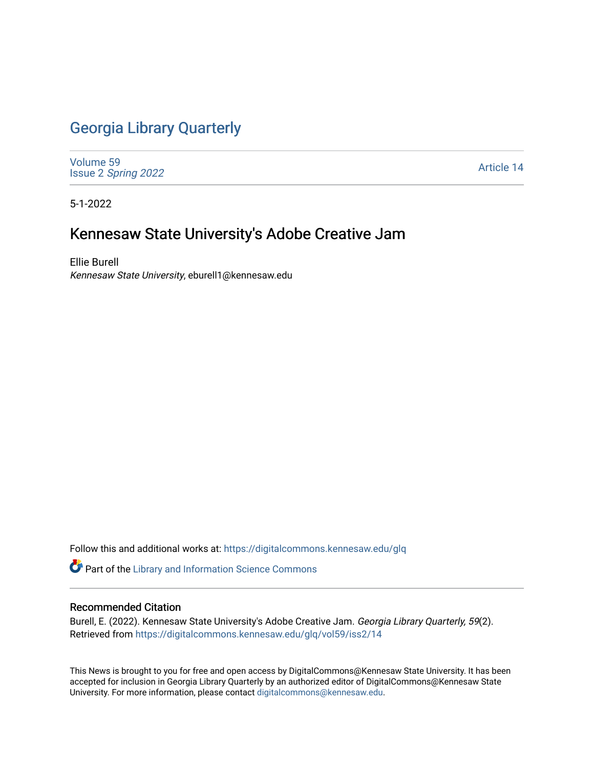## [Georgia Library Quarterly](https://digitalcommons.kennesaw.edu/glq)

[Volume 59](https://digitalcommons.kennesaw.edu/glq/vol59) Issue 2 [Spring 2022](https://digitalcommons.kennesaw.edu/glq/vol59/iss2) 

[Article 14](https://digitalcommons.kennesaw.edu/glq/vol59/iss2/14) 

5-1-2022

## Kennesaw State University's Adobe Creative Jam

Ellie Burell Kennesaw State University, eburell1@kennesaw.edu

Follow this and additional works at: [https://digitalcommons.kennesaw.edu/glq](https://digitalcommons.kennesaw.edu/glq?utm_source=digitalcommons.kennesaw.edu%2Fglq%2Fvol59%2Fiss2%2F14&utm_medium=PDF&utm_campaign=PDFCoverPages) 

Part of the [Library and Information Science Commons](http://network.bepress.com/hgg/discipline/1018?utm_source=digitalcommons.kennesaw.edu%2Fglq%2Fvol59%2Fiss2%2F14&utm_medium=PDF&utm_campaign=PDFCoverPages) 

## Recommended Citation

Burell, E. (2022). Kennesaw State University's Adobe Creative Jam. Georgia Library Quarterly, 59(2). Retrieved from [https://digitalcommons.kennesaw.edu/glq/vol59/iss2/14](https://digitalcommons.kennesaw.edu/glq/vol59/iss2/14?utm_source=digitalcommons.kennesaw.edu%2Fglq%2Fvol59%2Fiss2%2F14&utm_medium=PDF&utm_campaign=PDFCoverPages) 

This News is brought to you for free and open access by DigitalCommons@Kennesaw State University. It has been accepted for inclusion in Georgia Library Quarterly by an authorized editor of DigitalCommons@Kennesaw State University. For more information, please contact [digitalcommons@kennesaw.edu.](mailto:digitalcommons@kennesaw.edu)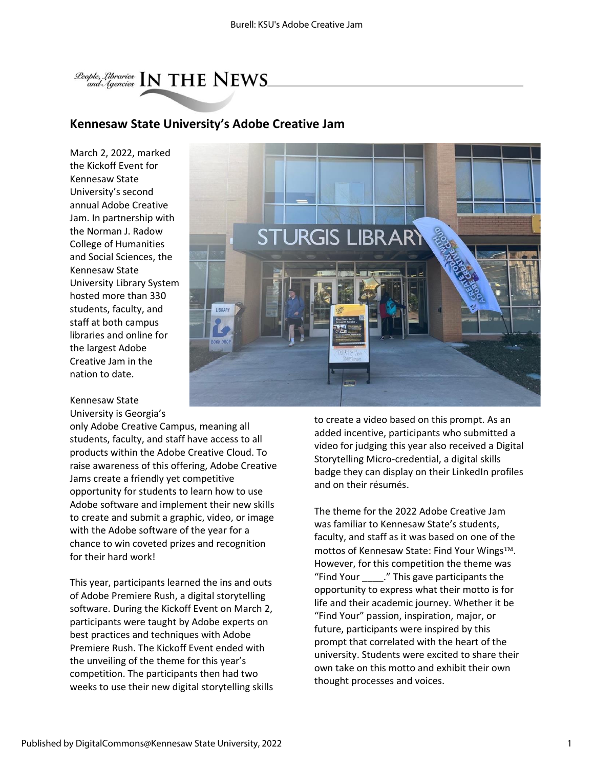

## **Kennesaw State University's Adobe Creative Jam**

March 2, 2022, marked the Kickoff Event for Kennesaw State University's second annual Adobe Creative Jam. In partnership with the Norman J. Radow College of Humanities and Social Sciences, the Kennesaw State University Library System hosted more than 330 students, faculty, and staff at both campus libraries and online for the largest Adobe Creative Jam in the nation to date.



Kennesaw State University is Georgia's

only Adobe Creative Campus, meaning all students, faculty, and staff have access to all products within the Adobe Creative Cloud. To raise awareness of this offering, Adobe Creative Jams create a friendly yet competitive opportunity for students to learn how to use Adobe software and implement their new skills to create and submit a graphic, video, or image with the Adobe software of the year for a chance to win coveted prizes and recognition for their hard work!

This year, participants learned the ins and outs of Adobe Premiere Rush, a digital storytelling software. During the Kickoff Event on March 2, participants were taught by Adobe experts on best practices and techniques with Adobe Premiere Rush. The Kickoff Event ended with the unveiling of the theme for this year's competition. The participants then had two weeks to use their new digital storytelling skills to create a video based on this prompt. As an added incentive, participants who submitted a video for judging this year also received a Digital Storytelling Micro-credential, a digital skills badge they can display on their LinkedIn profiles and on their résumés.

The theme for the 2022 Adobe Creative Jam was familiar to Kennesaw State's students, faculty, and staff as it was based on one of the mottos of Kennesaw State: Find Your Wings™. However, for this competition the theme was "Find Your \_\_\_\_." This gave participants the opportunity to express what their motto is for life and their academic journey. Whether it be "Find Your" passion, inspiration, major, or future, participants were inspired by this prompt that correlated with the heart of the university. Students were excited to share their own take on this motto and exhibit their own thought processes and voices.